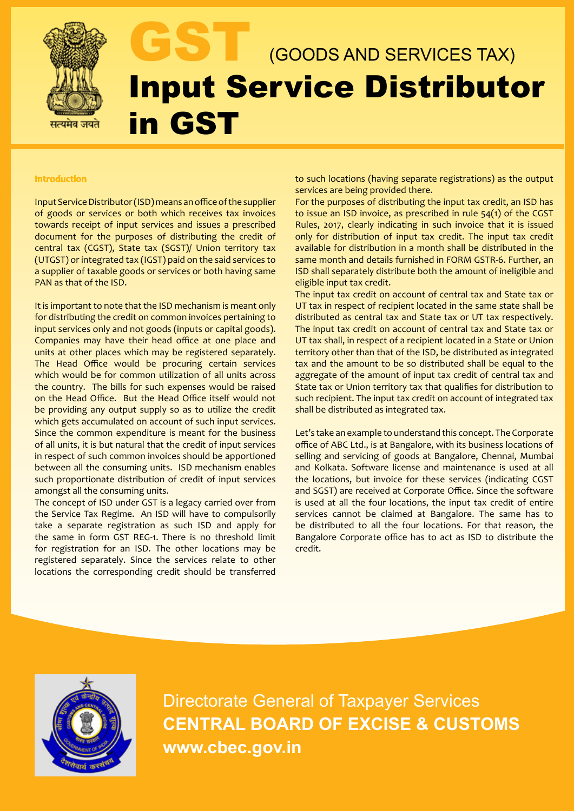

# (GOODS AND SERVICES TAX) Input Service Distributor in GST

## **Introduction**

Input Service Distributor (ISD) means an office of the supplier of goods or services or both which receives tax invoices towards receipt of input services and issues a prescribed document for the purposes of distributing the credit of central tax (CGST), State tax (SGST)/ Union territory tax (UTGST) or integrated tax (IGST) paid on the said services to a supplier of taxable goods or services or both having same PAN as that of the ISD.

It is important to note that the ISD mechanism is meant only for distributing the credit on common invoices pertaining to input services only and not goods (inputs or capital goods). Companies may have their head office at one place and units at other places which may be registered separately. The Head Office would be procuring certain services which would be for common utilization of all units across the country. The bills for such expenses would be raised on the Head Office. But the Head Office itself would not be providing any output supply so as to utilize the credit which gets accumulated on account of such input services. Since the common expenditure is meant for the business of all units, it is but natural that the credit of input services in respect of such common invoices should be apportioned between all the consuming units. ISD mechanism enables such proportionate distribution of credit of input services amongst all the consuming units.

The concept of ISD under GST is a legacy carried over from the Service Tax Regime. An ISD will have to compulsorily take a separate registration as such ISD and apply for the same in form GST REG-1. There is no threshold limit for registration for an ISD. The other locations may be registered separately. Since the services relate to other locations the corresponding credit should be transferred to such locations (having separate registrations) as the output services are being provided there.

For the purposes of distributing the input tax credit, an ISD has to issue an ISD invoice, as prescribed in rule 54(1) of the CGST Rules, 2017, clearly indicating in such invoice that it is issued only for distribution of input tax credit. The input tax credit available for distribution in a month shall be distributed in the same month and details furnished in FORM GSTR-6. Further, an ISD shall separately distribute both the amount of ineligible and eligible input tax credit.

The input tax credit on account of central tax and State tax or UT tax in respect of recipient located in the same state shall be distributed as central tax and State tax or UT tax respectively. The input tax credit on account of central tax and State tax or UT tax shall, in respect of a recipient located in a State or Union territory other than that of the ISD, be distributed as integrated tax and the amount to be so distributed shall be equal to the aggregate of the amount of input tax credit of central tax and State tax or Union territory tax that qualifies for distribution to such recipient. The input tax credit on account of integrated tax shall be distributed as integrated tax.

Let's take an example to understand this concept. The Corporate office of ABC Ltd., is at Bangalore, with its business locations of selling and servicing of goods at Bangalore, Chennai, Mumbai and Kolkata. Software license and maintenance is used at all the locations, but invoice for these services (indicating CGST and SGST) are received at Corporate Office. Since the software is used at all the four locations, the input tax credit of entire services cannot be claimed at Bangalore. The same has to be distributed to all the four locations. For that reason, the Bangalore Corporate office has to act as ISD to distribute the credit.



Directorate General of Taxpayer Services **CENTRAL BOARD OF EXCISE & CUSTOMS www.cbec.gov.in**